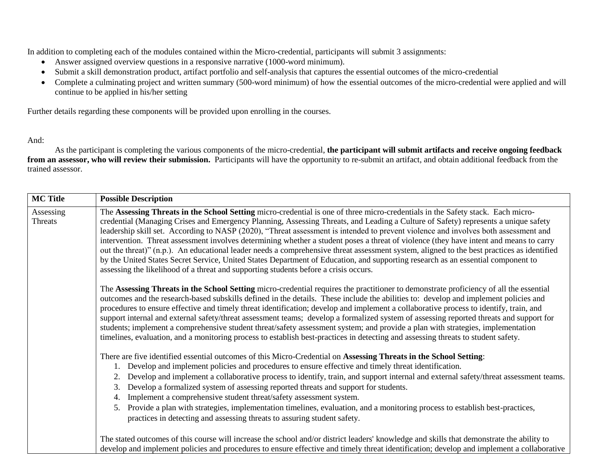In addition to completing each of the modules contained within the Micro-credential, participants will submit 3 assignments:

- Answer assigned overview questions in a responsive narrative (1000-word minimum).
- Submit a skill demonstration product, artifact portfolio and self-analysis that captures the essential outcomes of the micro-credential
- Complete a culminating project and written summary (500-word minimum) of how the essential outcomes of the micro-credential were applied and will continue to be applied in his/her setting

Further details regarding these components will be provided upon enrolling in the courses.

## And:

As the participant is completing the various components of the micro-credential, **the participant will submit artifacts and receive ongoing feedback from an assessor, who will review their submission.** Participants will have the opportunity to re-submit an artifact, and obtain additional feedback from the trained assessor.

| <b>MC Title</b>      | <b>Possible Description</b>                                                                                                                                                                                                                                                                                                                                                                                                                                                                                                                                                                                                                                                                                                                                                                                                                                                                                                      |
|----------------------|----------------------------------------------------------------------------------------------------------------------------------------------------------------------------------------------------------------------------------------------------------------------------------------------------------------------------------------------------------------------------------------------------------------------------------------------------------------------------------------------------------------------------------------------------------------------------------------------------------------------------------------------------------------------------------------------------------------------------------------------------------------------------------------------------------------------------------------------------------------------------------------------------------------------------------|
| Assessing<br>Threats | The Assessing Threats in the School Setting micro-credential is one of three micro-credentials in the Safety stack. Each micro-<br>credential (Managing Crises and Emergency Planning, Assessing Threats, and Leading a Culture of Safety) represents a unique safety<br>leadership skill set. According to NASP (2020), "Threat assessment is intended to prevent violence and involves both assessment and<br>intervention. Threat assessment involves determining whether a student poses a threat of violence (they have intent and means to carry<br>out the threat)" (n.p.). An educational leader needs a comprehensive threat assessment system, aligned to the best practices as identified<br>by the United States Secret Service, United States Department of Education, and supporting research as an essential component to<br>assessing the likelihood of a threat and supporting students before a crisis occurs. |
|                      | The Assessing Threats in the School Setting micro-credential requires the practitioner to demonstrate proficiency of all the essential<br>outcomes and the research-based subskills defined in the details. These include the abilities to: develop and implement policies and<br>procedures to ensure effective and timely threat identification; develop and implement a collaborative process to identify, train, and<br>support internal and external safety/threat assessment teams; develop a formalized system of assessing reported threats and support for<br>students; implement a comprehensive student threat/safety assessment system; and provide a plan with strategies, implementation<br>timelines, evaluation, and a monitoring process to establish best-practices in detecting and assessing threats to student safety.                                                                                      |
|                      | There are five identified essential outcomes of this Micro-Credential on Assessing Threats in the School Setting:<br>Develop and implement policies and procedures to ensure effective and timely threat identification.<br>Develop and implement a collaborative process to identify, train, and support internal and external safety/threat assessment teams.<br>Develop a formalized system of assessing reported threats and support for students.<br>3.<br>Implement a comprehensive student threat/safety assessment system.<br>4.<br>Provide a plan with strategies, implementation timelines, evaluation, and a monitoring process to establish best-practices,<br>5.<br>practices in detecting and assessing threats to assuring student safety.                                                                                                                                                                        |
|                      | The stated outcomes of this course will increase the school and/or district leaders' knowledge and skills that demonstrate the ability to<br>develop and implement policies and procedures to ensure effective and timely threat identification; develop and implement a collaborative                                                                                                                                                                                                                                                                                                                                                                                                                                                                                                                                                                                                                                           |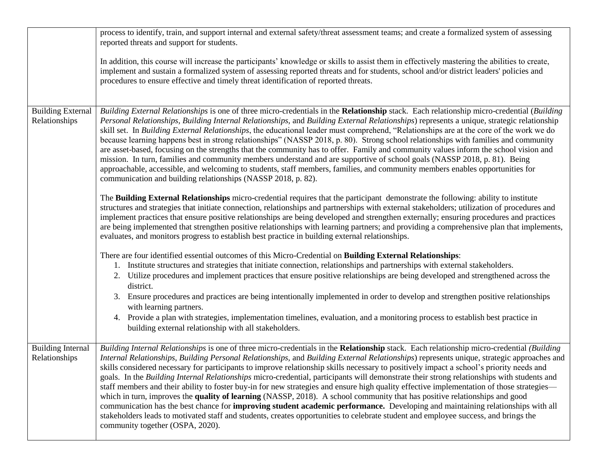|                                           | process to identify, train, and support internal and external safety/threat assessment teams; and create a formalized system of assessing<br>reported threats and support for students.                                                                                                                                                                                                                                                                                                                                                                                                                                                                                                                                                                                                                                                                                                                                                                                                                                                                                                                                                                                          |
|-------------------------------------------|----------------------------------------------------------------------------------------------------------------------------------------------------------------------------------------------------------------------------------------------------------------------------------------------------------------------------------------------------------------------------------------------------------------------------------------------------------------------------------------------------------------------------------------------------------------------------------------------------------------------------------------------------------------------------------------------------------------------------------------------------------------------------------------------------------------------------------------------------------------------------------------------------------------------------------------------------------------------------------------------------------------------------------------------------------------------------------------------------------------------------------------------------------------------------------|
|                                           | In addition, this course will increase the participants' knowledge or skills to assist them in effectively mastering the abilities to create,<br>implement and sustain a formalized system of assessing reported threats and for students, school and/or district leaders' policies and<br>procedures to ensure effective and timely threat identification of reported threats.                                                                                                                                                                                                                                                                                                                                                                                                                                                                                                                                                                                                                                                                                                                                                                                                  |
| <b>Building External</b><br>Relationships | Building External Relationships is one of three micro-credentials in the Relationship stack. Each relationship micro-credential (Building<br>Personal Relationships, Building Internal Relationships, and Building External Relationships) represents a unique, strategic relationship<br>skill set. In Building External Relationships, the educational leader must comprehend, "Relationships are at the core of the work we do<br>because learning happens best in strong relationships" (NASSP 2018, p. 80). Strong school relationships with families and community<br>are asset-based, focusing on the strengths that the community has to offer. Family and community values inform the school vision and<br>mission. In turn, families and community members understand and are supportive of school goals (NASSP 2018, p. 81). Being<br>approachable, accessible, and welcoming to students, staff members, families, and community members enables opportunities for<br>communication and building relationships (NASSP 2018, p. 82).                                                                                                                                  |
|                                           | The <b>Building External Relationships</b> micro-credential requires that the participant demonstrate the following: ability to institute<br>structures and strategies that initiate connection, relationships and partnerships with external stakeholders; utilization of procedures and<br>implement practices that ensure positive relationships are being developed and strengthen externally; ensuring procedures and practices<br>are being implemented that strengthen positive relationships with learning partners; and providing a comprehensive plan that implements,<br>evaluates, and monitors progress to establish best practice in building external relationships.                                                                                                                                                                                                                                                                                                                                                                                                                                                                                              |
|                                           | There are four identified essential outcomes of this Micro-Credential on Building External Relationships:<br>1. Institute structures and strategies that initiate connection, relationships and partnerships with external stakeholders.<br>2. Utilize procedures and implement practices that ensure positive relationships are being developed and strengthened across the<br>district.<br>3. Ensure procedures and practices are being intentionally implemented in order to develop and strengthen positive relationships<br>with learning partners.<br>4. Provide a plan with strategies, implementation timelines, evaluation, and a monitoring process to establish best practice in<br>building external relationship with all stakeholders.                                                                                                                                                                                                                                                                                                                                                                                                                             |
| <b>Building Internal</b><br>Relationships | Building Internal Relationships is one of three micro-credentials in the Relationship stack. Each relationship micro-credential (Building<br>Internal Relationships, Building Personal Relationships, and Building External Relationships) represents unique, strategic approaches and<br>skills considered necessary for participants to improve relationship skills necessary to positively impact a school's priority needs and<br>goals. In the Building Internal Relationships micro-credential, participants will demonstrate their strong relationships with students and<br>staff members and their ability to foster buy-in for new strategies and ensure high quality effective implementation of those strategies—<br>which in turn, improves the quality of learning (NASSP, 2018). A school community that has positive relationships and good<br>communication has the best chance for <b>improving student academic performance.</b> Developing and maintaining relationships with all<br>stakeholders leads to motivated staff and students, creates opportunities to celebrate student and employee success, and brings the<br>community together (OSPA, 2020). |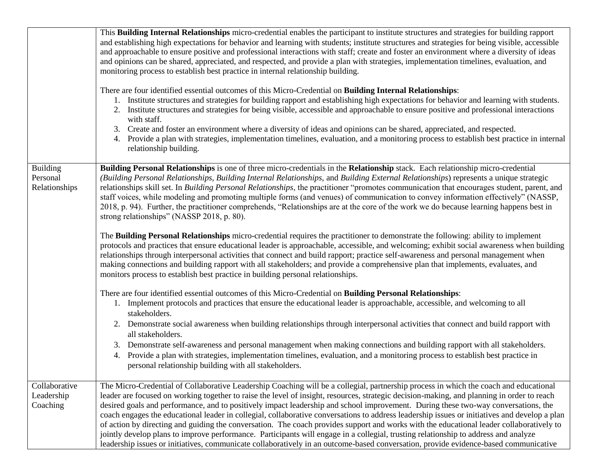|                                              | This <b>Building Internal Relationships</b> micro-credential enables the participant to institute structures and strategies for building rapport<br>and establishing high expectations for behavior and learning with students; institute structures and strategies for being visible, accessible<br>and approachable to ensure positive and professional interactions with staff; create and foster an environment where a diversity of ideas<br>and opinions can be shared, appreciated, and respected, and provide a plan with strategies, implementation timelines, evaluation, and<br>monitoring process to establish best practice in internal relationship building.<br>There are four identified essential outcomes of this Micro-Credential on Building Internal Relationships:<br>1. Institute structures and strategies for building rapport and establishing high expectations for behavior and learning with students.<br>2. Institute structures and strategies for being visible, accessible and approachable to ensure positive and professional interactions<br>with staff.<br>3. Create and foster an environment where a diversity of ideas and opinions can be shared, appreciated, and respected.<br>4. Provide a plan with strategies, implementation timelines, evaluation, and a monitoring process to establish best practice in internal<br>relationship building.                |
|----------------------------------------------|-------------------------------------------------------------------------------------------------------------------------------------------------------------------------------------------------------------------------------------------------------------------------------------------------------------------------------------------------------------------------------------------------------------------------------------------------------------------------------------------------------------------------------------------------------------------------------------------------------------------------------------------------------------------------------------------------------------------------------------------------------------------------------------------------------------------------------------------------------------------------------------------------------------------------------------------------------------------------------------------------------------------------------------------------------------------------------------------------------------------------------------------------------------------------------------------------------------------------------------------------------------------------------------------------------------------------------------------------------------------------------------------------------------|
| <b>Building</b><br>Personal<br>Relationships | Building Personal Relationships is one of three micro-credentials in the Relationship stack. Each relationship micro-credential<br>(Building Personal Relationships, Building Internal Relationships, and Building External Relationships) represents a unique strategic<br>relationships skill set. In <i>Building Personal Relationships</i> , the practitioner "promotes communication that encourages student, parent, and<br>staff voices, while modeling and promoting multiple forms (and venues) of communication to convey information effectively" (NASSP,<br>2018, p. 94). Further, the practitioner comprehends, "Relationships are at the core of the work we do because learning happens best in<br>strong relationships" (NASSP 2018, p. 80).<br>The Building Personal Relationships micro-credential requires the practitioner to demonstrate the following: ability to implement<br>protocols and practices that ensure educational leader is approachable, accessible, and welcoming; exhibit social awareness when building<br>relationships through interpersonal activities that connect and build rapport; practice self-awareness and personal management when<br>making connections and building rapport with all stakeholders; and provide a comprehensive plan that implements, evaluates, and<br>monitors process to establish best practice in building personal relationships. |
|                                              | There are four identified essential outcomes of this Micro-Credential on Building Personal Relationships:<br>1. Implement protocols and practices that ensure the educational leader is approachable, accessible, and welcoming to all<br>stakeholders.<br>2. Demonstrate social awareness when building relationships through interpersonal activities that connect and build rapport with<br>all stakeholders.<br>3. Demonstrate self-awareness and personal management when making connections and building rapport with all stakeholders.<br>4. Provide a plan with strategies, implementation timelines, evaluation, and a monitoring process to establish best practice in<br>personal relationship building with all stakeholders.                                                                                                                                                                                                                                                                                                                                                                                                                                                                                                                                                                                                                                                                   |
| Collaborative<br>Leadership<br>Coaching      | The Micro-Credential of Collaborative Leadership Coaching will be a collegial, partnership process in which the coach and educational<br>leader are focused on working together to raise the level of insight, resources, strategic decision-making, and planning in order to reach<br>desired goals and performance, and to positively impact leadership and school improvement. During these two-way conversations, the<br>coach engages the educational leader in collegial, collaborative conversations to address leadership issues or initiatives and develop a plan<br>of action by directing and guiding the conversation. The coach provides support and works with the educational leader collaboratively to<br>jointly develop plans to improve performance. Participants will engage in a collegial, trusting relationship to address and analyze<br>leadership issues or initiatives, communicate collaboratively in an outcome-based conversation, provide evidence-based communicative                                                                                                                                                                                                                                                                                                                                                                                                       |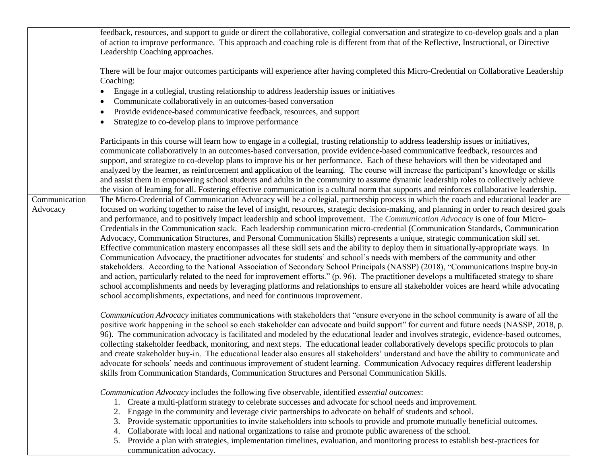|               | feedback, resources, and support to guide or direct the collaborative, collegial conversation and strategize to co-develop goals and a plan<br>of action to improve performance. This approach and coaching role is different from that of the Reflective, Instructional, or Directive<br>Leadership Coaching approaches. |
|---------------|---------------------------------------------------------------------------------------------------------------------------------------------------------------------------------------------------------------------------------------------------------------------------------------------------------------------------|
|               | There will be four major outcomes participants will experience after having completed this Micro-Credential on Collaborative Leadership<br>Coaching:                                                                                                                                                                      |
|               | Engage in a collegial, trusting relationship to address leadership issues or initiatives<br>٠                                                                                                                                                                                                                             |
|               | Communicate collaboratively in an outcomes-based conversation<br>$\bullet$                                                                                                                                                                                                                                                |
|               | Provide evidence-based communicative feedback, resources, and support<br>$\bullet$                                                                                                                                                                                                                                        |
|               | Strategize to co-develop plans to improve performance<br>$\bullet$                                                                                                                                                                                                                                                        |
|               | Participants in this course will learn how to engage in a collegial, trusting relationship to address leadership issues or initiatives,                                                                                                                                                                                   |
|               | communicate collaboratively in an outcomes-based conversation, provide evidence-based communicative feedback, resources and                                                                                                                                                                                               |
|               | support, and strategize to co-develop plans to improve his or her performance. Each of these behaviors will then be videotaped and                                                                                                                                                                                        |
|               | analyzed by the learner, as reinforcement and application of the learning. The course will increase the participant's knowledge or skills                                                                                                                                                                                 |
|               | and assist them in empowering school students and adults in the community to assume dynamic leadership roles to collectively achieve                                                                                                                                                                                      |
| Communication | the vision of learning for all. Fostering effective communication is a cultural norm that supports and reinforces collaborative leadership.<br>The Micro-Credential of Communication Advocacy will be a collegial, partnership process in which the coach and educational leader are                                      |
| Advocacy      | focused on working together to raise the level of insight, resources, strategic decision-making, and planning in order to reach desired goals                                                                                                                                                                             |
|               | and performance, and to positively impact leadership and school improvement. The Communication Advocacy is one of four Micro-                                                                                                                                                                                             |
|               | Credentials in the Communication stack. Each leadership communication micro-credential (Communication Standards, Communication                                                                                                                                                                                            |
|               | Advocacy, Communication Structures, and Personal Communication Skills) represents a unique, strategic communication skill set.                                                                                                                                                                                            |
|               | Effective communication mastery encompasses all these skill sets and the ability to deploy them in situationally-appropriate ways. In                                                                                                                                                                                     |
|               | Communication Advocacy, the practitioner advocates for students' and school's needs with members of the community and other                                                                                                                                                                                               |
|               | stakeholders. According to the National Association of Secondary School Principals (NASSP) (2018), "Communications inspire buy-in                                                                                                                                                                                         |
|               | and action, particularly related to the need for improvement efforts." (p. 96). The practitioner develops a multifaceted strategy to share                                                                                                                                                                                |
|               | school accomplishments and needs by leveraging platforms and relationships to ensure all stakeholder voices are heard while advocating                                                                                                                                                                                    |
|               | school accomplishments, expectations, and need for continuous improvement.                                                                                                                                                                                                                                                |
|               | Communication Advocacy initiates communications with stakeholders that "ensure everyone in the school community is aware of all the                                                                                                                                                                                       |
|               | positive work happening in the school so each stakeholder can advocate and build support" for current and future needs (NASSP, 2018, p.                                                                                                                                                                                   |
|               | 96). The communication advocacy is facilitated and modeled by the educational leader and involves strategic, evidence-based outcomes,                                                                                                                                                                                     |
|               | collecting stakeholder feedback, monitoring, and next steps. The educational leader collaboratively develops specific protocols to plan                                                                                                                                                                                   |
|               | and create stakeholder buy-in. The educational leader also ensures all stakeholders' understand and have the ability to communicate and                                                                                                                                                                                   |
|               | advocate for schools' needs and continuous improvement of student learning. Communication Advocacy requires different leadership                                                                                                                                                                                          |
|               | skills from Communication Standards, Communication Structures and Personal Communication Skills.                                                                                                                                                                                                                          |
|               | Communication Advocacy includes the following five observable, identified essential outcomes:                                                                                                                                                                                                                             |
|               | 1. Create a multi-platform strategy to celebrate successes and advocate for school needs and improvement.                                                                                                                                                                                                                 |
|               | Engage in the community and leverage civic partnerships to advocate on behalf of students and school.<br>2.                                                                                                                                                                                                               |
|               | Provide systematic opportunities to invite stakeholders into schools to provide and promote mutually beneficial outcomes.<br>3.                                                                                                                                                                                           |
|               | Collaborate with local and national organizations to raise and promote public awareness of the school.<br>4.                                                                                                                                                                                                              |
|               | Provide a plan with strategies, implementation timelines, evaluation, and monitoring process to establish best-practices for<br>5.<br>communication advocacy.                                                                                                                                                             |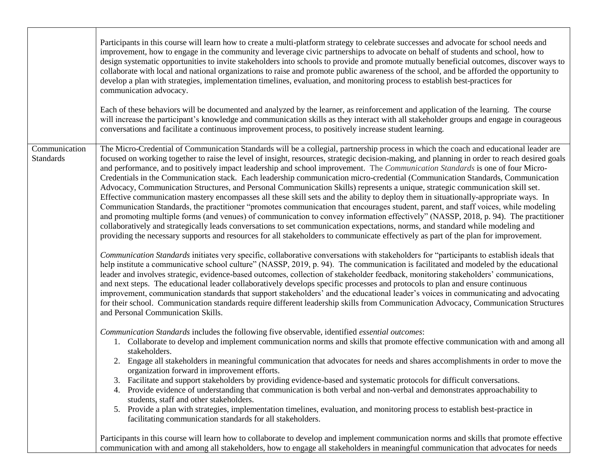|                                   | Participants in this course will learn how to create a multi-platform strategy to celebrate successes and advocate for school needs and<br>improvement, how to engage in the community and leverage civic partnerships to advocate on behalf of students and school, how to<br>design systematic opportunities to invite stakeholders into schools to provide and promote mutually beneficial outcomes, discover ways to<br>collaborate with local and national organizations to raise and promote public awareness of the school, and be afforded the opportunity to<br>develop a plan with strategies, implementation timelines, evaluation, and monitoring process to establish best-practices for<br>communication advocacy.<br>Each of these behaviors will be documented and analyzed by the learner, as reinforcement and application of the learning. The course<br>will increase the participant's knowledge and communication skills as they interact with all stakeholder groups and engage in courageous<br>conversations and facilitate a continuous improvement process, to positively increase student learning.                                                                                                                                                                                                                                                                        |
|-----------------------------------|--------------------------------------------------------------------------------------------------------------------------------------------------------------------------------------------------------------------------------------------------------------------------------------------------------------------------------------------------------------------------------------------------------------------------------------------------------------------------------------------------------------------------------------------------------------------------------------------------------------------------------------------------------------------------------------------------------------------------------------------------------------------------------------------------------------------------------------------------------------------------------------------------------------------------------------------------------------------------------------------------------------------------------------------------------------------------------------------------------------------------------------------------------------------------------------------------------------------------------------------------------------------------------------------------------------------------------------------------------------------------------------------------------|
| Communication<br><b>Standards</b> | The Micro-Credential of Communication Standards will be a collegial, partnership process in which the coach and educational leader are<br>focused on working together to raise the level of insight, resources, strategic decision-making, and planning in order to reach desired goals<br>and performance, and to positively impact leadership and school improvement. The <i>Communication Standards</i> is one of four Micro-<br>Credentials in the Communication stack. Each leadership communication micro-credential (Communication Standards, Communication<br>Advocacy, Communication Structures, and Personal Communication Skills) represents a unique, strategic communication skill set.<br>Effective communication mastery encompasses all these skill sets and the ability to deploy them in situationally-appropriate ways. In<br>Communication Standards, the practitioner "promotes communication that encourages student, parent, and staff voices, while modeling<br>and promoting multiple forms (and venues) of communication to convey information effectively" (NASSP, 2018, p. 94). The practitioner<br>collaboratively and strategically leads conversations to set communication expectations, norms, and standard while modeling and<br>providing the necessary supports and resources for all stakeholders to communicate effectively as part of the plan for improvement. |
|                                   | Communication Standards initiates very specific, collaborative conversations with stakeholders for "participants to establish ideals that<br>help institute a communicative school culture" (NASSP, 2019, p. 94). The communication is facilitated and modeled by the educational<br>leader and involves strategic, evidence-based outcomes, collection of stakeholder feedback, monitoring stakeholders' communications,<br>and next steps. The educational leader collaboratively develops specific processes and protocols to plan and ensure continuous<br>improvement, communication standards that support stakeholders' and the educational leader's voices in communicating and advocating<br>for their school. Communication standards require different leadership skills from Communication Advocacy, Communication Structures<br>and Personal Communication Skills.                                                                                                                                                                                                                                                                                                                                                                                                                                                                                                                        |
|                                   | Communication Standards includes the following five observable, identified essential outcomes:<br>1. Collaborate to develop and implement communication norms and skills that promote effective communication with and among all<br>stakeholders.<br>2. Engage all stakeholders in meaningful communication that advocates for needs and shares accomplishments in order to move the<br>organization forward in improvement efforts.<br>3. Facilitate and support stakeholders by providing evidence-based and systematic protocols for difficult conversations.<br>4. Provide evidence of understanding that communication is both verbal and non-verbal and demonstrates approachability to<br>students, staff and other stakeholders.<br>5. Provide a plan with strategies, implementation timelines, evaluation, and monitoring process to establish best-practice in<br>facilitating communication standards for all stakeholders.                                                                                                                                                                                                                                                                                                                                                                                                                                                                |
|                                   | Participants in this course will learn how to collaborate to develop and implement communication norms and skills that promote effective<br>communication with and among all stakeholders, how to engage all stakeholders in meaningful communication that advocates for needs                                                                                                                                                                                                                                                                                                                                                                                                                                                                                                                                                                                                                                                                                                                                                                                                                                                                                                                                                                                                                                                                                                                         |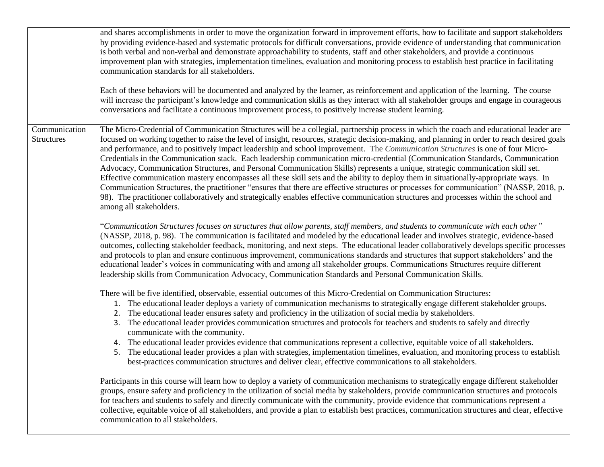|                                    | and shares accomplishments in order to move the organization forward in improvement efforts, how to facilitate and support stakeholders<br>by providing evidence-based and systematic protocols for difficult conversations, provide evidence of understanding that communication<br>is both verbal and non-verbal and demonstrate approachability to students, staff and other stakeholders, and provide a continuous<br>improvement plan with strategies, implementation timelines, evaluation and monitoring process to establish best practice in facilitating<br>communication standards for all stakeholders.<br>Each of these behaviors will be documented and analyzed by the learner, as reinforcement and application of the learning. The course<br>will increase the participant's knowledge and communication skills as they interact with all stakeholder groups and engage in courageous<br>conversations and facilitate a continuous improvement process, to positively increase student learning.                                                                                                                                                                                                                                                                                                                                                                                                                                                                                                                                                                                                                                                                                                                                                                                                                                                                                                                                                                                                                                                                                                                                                                                                                                                                                                                                                                                                                                                                                                                                                                                                                                                                                                                                                                                                                                                                                                                                                                                                                                                                                                                                                                                                                                                                                                                                                                                                                                                                                                                 |
|------------------------------------|------------------------------------------------------------------------------------------------------------------------------------------------------------------------------------------------------------------------------------------------------------------------------------------------------------------------------------------------------------------------------------------------------------------------------------------------------------------------------------------------------------------------------------------------------------------------------------------------------------------------------------------------------------------------------------------------------------------------------------------------------------------------------------------------------------------------------------------------------------------------------------------------------------------------------------------------------------------------------------------------------------------------------------------------------------------------------------------------------------------------------------------------------------------------------------------------------------------------------------------------------------------------------------------------------------------------------------------------------------------------------------------------------------------------------------------------------------------------------------------------------------------------------------------------------------------------------------------------------------------------------------------------------------------------------------------------------------------------------------------------------------------------------------------------------------------------------------------------------------------------------------------------------------------------------------------------------------------------------------------------------------------------------------------------------------------------------------------------------------------------------------------------------------------------------------------------------------------------------------------------------------------------------------------------------------------------------------------------------------------------------------------------------------------------------------------------------------------------------------------------------------------------------------------------------------------------------------------------------------------------------------------------------------------------------------------------------------------------------------------------------------------------------------------------------------------------------------------------------------------------------------------------------------------------------------------------------------------------------------------------------------------------------------------------------------------------------------------------------------------------------------------------------------------------------------------------------------------------------------------------------------------------------------------------------------------------------------------------------------------------------------------------------------------------------------------------------------------------------------------------------------------------------------|
| Communication<br><b>Structures</b> | The Micro-Credential of Communication Structures will be a collegial, partnership process in which the coach and educational leader are<br>focused on working together to raise the level of insight, resources, strategic decision-making, and planning in order to reach desired goals<br>and performance, and to positively impact leadership and school improvement. The Communication Structures is one of four Micro-<br>Credentials in the Communication stack. Each leadership communication micro-credential (Communication Standards, Communication<br>Advocacy, Communication Structures, and Personal Communication Skills) represents a unique, strategic communication skill set.<br>Effective communication mastery encompasses all these skill sets and the ability to deploy them in situationally-appropriate ways. In<br>Communication Structures, the practitioner "ensures that there are effective structures or processes for communication" (NASSP, 2018, p.<br>98). The practitioner collaboratively and strategically enables effective communication structures and processes within the school and<br>among all stakeholders.<br>"Communication Structures focuses on structures that allow parents, staff members, and students to communicate with each other"<br>(NASSP, 2018, p. 98). The communication is facilitated and modeled by the educational leader and involves strategic, evidence-based<br>outcomes, collecting stakeholder feedback, monitoring, and next steps. The educational leader collaboratively develops specific processes<br>and protocols to plan and ensure continuous improvement, communications standards and structures that support stakeholders' and the<br>educational leader's voices in communicating with and among all stakeholder groups. Communications Structures require different<br>leadership skills from Communication Advocacy, Communication Standards and Personal Communication Skills.<br>There will be five identified, observable, essential outcomes of this Micro-Credential on Communication Structures:<br>1. The educational leader deploys a variety of communication mechanisms to strategically engage different stakeholder groups.<br>2. The educational leader ensures safety and proficiency in the utilization of social media by stakeholders.<br>The educational leader provides communication structures and protocols for teachers and students to safely and directly<br>3.<br>communicate with the community.<br>The educational leader provides evidence that communications represent a collective, equitable voice of all stakeholders.<br>4.<br>The educational leader provides a plan with strategies, implementation timelines, evaluation, and monitoring process to establish<br>5.<br>best-practices communication structures and deliver clear, effective communications to all stakeholders.<br>Participants in this course will learn how to deploy a variety of communication mechanisms to strategically engage different stakeholder<br>groups, ensure safety and proficiency in the utilization of social media by stakeholders, provide communication structures and protocols<br>for teachers and students to safely and directly communicate with the community, provide evidence that communications represent a<br>collective, equitable voice of all stakeholders, and provide a plan to establish best practices, communication structures and clear, effective<br>communication to all stakeholders. |
|                                    |                                                                                                                                                                                                                                                                                                                                                                                                                                                                                                                                                                                                                                                                                                                                                                                                                                                                                                                                                                                                                                                                                                                                                                                                                                                                                                                                                                                                                                                                                                                                                                                                                                                                                                                                                                                                                                                                                                                                                                                                                                                                                                                                                                                                                                                                                                                                                                                                                                                                                                                                                                                                                                                                                                                                                                                                                                                                                                                                                                                                                                                                                                                                                                                                                                                                                                                                                                                                                                                                                                                                    |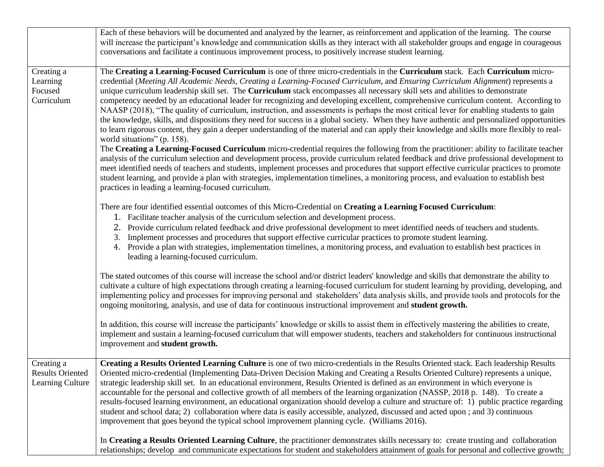|                                                           | Each of these behaviors will be documented and analyzed by the learner, as reinforcement and application of the learning. The course<br>will increase the participant's knowledge and communication skills as they interact with all stakeholder groups and engage in courageous<br>conversations and facilitate a continuous improvement process, to positively increase student learning.                                                                                                                                                                                                                                                                                                                                                                                                                                                                                                                                                                                                                                                                                                                                                                                                                                                                                                                                                                                                                                                                                                                                                                                                                                                         |
|-----------------------------------------------------------|-----------------------------------------------------------------------------------------------------------------------------------------------------------------------------------------------------------------------------------------------------------------------------------------------------------------------------------------------------------------------------------------------------------------------------------------------------------------------------------------------------------------------------------------------------------------------------------------------------------------------------------------------------------------------------------------------------------------------------------------------------------------------------------------------------------------------------------------------------------------------------------------------------------------------------------------------------------------------------------------------------------------------------------------------------------------------------------------------------------------------------------------------------------------------------------------------------------------------------------------------------------------------------------------------------------------------------------------------------------------------------------------------------------------------------------------------------------------------------------------------------------------------------------------------------------------------------------------------------------------------------------------------------|
| Creating a<br>Learning<br>Focused<br>Curriculum           | The Creating a Learning-Focused Curriculum is one of three micro-credentials in the Curriculum stack. Each Curriculum micro-<br>credential (Meeting All Academic Needs, Creating a Learning-Focused Curriculum, and Ensuring Curriculum Alignment) represents a<br>unique curriculum leadership skill set. The Curriculum stack encompasses all necessary skill sets and abilities to demonstrate<br>competency needed by an educational leader for recognizing and developing excellent, comprehensive curriculum content. According to<br>NAASP (2018), "The quality of curriculum, instruction, and assessments is perhaps the most critical lever for enabling students to gain<br>the knowledge, skills, and dispositions they need for success in a global society. When they have authentic and personalized opportunities<br>to learn rigorous content, they gain a deeper understanding of the material and can apply their knowledge and skills more flexibly to real-<br>world situations" (p. 158).<br>The Creating a Learning-Focused Curriculum micro-credential requires the following from the practitioner: ability to facilitate teacher<br>analysis of the curriculum selection and development process, provide curriculum related feedback and drive professional development to<br>meet identified needs of teachers and students, implement processes and procedures that support effective curricular practices to promote<br>student learning, and provide a plan with strategies, implementation timelines, a monitoring process, and evaluation to establish best<br>practices in leading a learning-focused curriculum. |
|                                                           | There are four identified essential outcomes of this Micro-Credential on Creating a Learning Focused Curriculum:<br>1. Facilitate teacher analysis of the curriculum selection and development process.<br>2. Provide curriculum related feedback and drive professional development to meet identified needs of teachers and students.<br>Implement processes and procedures that support effective curricular practices to promote student learning.<br>3.<br>4. Provide a plan with strategies, implementation timelines, a monitoring process, and evaluation to establish best practices in<br>leading a learning-focused curriculum.                                                                                                                                                                                                                                                                                                                                                                                                                                                                                                                                                                                                                                                                                                                                                                                                                                                                                                                                                                                                          |
|                                                           | The stated outcomes of this course will increase the school and/or district leaders' knowledge and skills that demonstrate the ability to<br>cultivate a culture of high expectations through creating a learning-focused curriculum for student learning by providing, developing, and<br>implementing policy and processes for improving personal and stakeholders' data analysis skills, and provide tools and protocols for the<br>ongoing monitoring, analysis, and use of data for continuous instructional improvement and student growth.                                                                                                                                                                                                                                                                                                                                                                                                                                                                                                                                                                                                                                                                                                                                                                                                                                                                                                                                                                                                                                                                                                   |
|                                                           | In addition, this course will increase the participants' knowledge or skills to assist them in effectively mastering the abilities to create,<br>implement and sustain a learning-focused curriculum that will empower students, teachers and stakeholders for continuous instructional<br>improvement and student growth.                                                                                                                                                                                                                                                                                                                                                                                                                                                                                                                                                                                                                                                                                                                                                                                                                                                                                                                                                                                                                                                                                                                                                                                                                                                                                                                          |
| Creating a<br><b>Results Oriented</b><br>Learning Culture | Creating a Results Oriented Learning Culture is one of two micro-credentials in the Results Oriented stack. Each leadership Results<br>Oriented micro-credential (Implementing Data-Driven Decision Making and Creating a Results Oriented Culture) represents a unique,<br>strategic leadership skill set. In an educational environment, Results Oriented is defined as an environment in which everyone is<br>accountable for the personal and collective growth of all members of the learning organization (NASSP, 2018 p. 148). To create a<br>results-focused learning environment, an educational organization should develop a culture and structure of: 1) public practice regarding<br>student and school data; 2) collaboration where data is easily accessible, analyzed, discussed and acted upon; and 3) continuous<br>improvement that goes beyond the typical school improvement planning cycle. (Williams 2016).                                                                                                                                                                                                                                                                                                                                                                                                                                                                                                                                                                                                                                                                                                                  |
|                                                           | In Creating a Results Oriented Learning Culture, the practitioner demonstrates skills necessary to: create trusting and collaboration<br>relationships; develop and communicate expectations for student and stakeholders attainment of goals for personal and collective growth;                                                                                                                                                                                                                                                                                                                                                                                                                                                                                                                                                                                                                                                                                                                                                                                                                                                                                                                                                                                                                                                                                                                                                                                                                                                                                                                                                                   |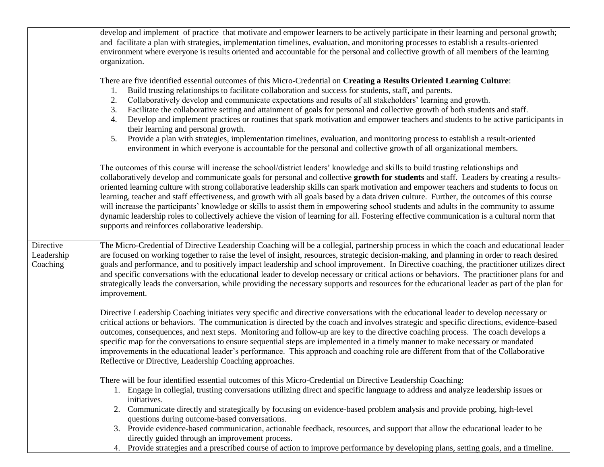|                                     | develop and implement of practice that motivate and empower learners to be actively participate in their learning and personal growth;<br>and facilitate a plan with strategies, implementation timelines, evaluation, and monitoring processes to establish a results-oriented<br>environment where everyone is results oriented and accountable for the personal and collective growth of all members of the learning<br>organization.                                                                                                                                                                                                                                                                                                                                                                                                                                                                                              |
|-------------------------------------|---------------------------------------------------------------------------------------------------------------------------------------------------------------------------------------------------------------------------------------------------------------------------------------------------------------------------------------------------------------------------------------------------------------------------------------------------------------------------------------------------------------------------------------------------------------------------------------------------------------------------------------------------------------------------------------------------------------------------------------------------------------------------------------------------------------------------------------------------------------------------------------------------------------------------------------|
|                                     | There are five identified essential outcomes of this Micro-Credential on Creating a Results Oriented Learning Culture:<br>Build trusting relationships to facilitate collaboration and success for students, staff, and parents.<br>Collaboratively develop and communicate expectations and results of all stakeholders' learning and growth.<br>2.<br>Facilitate the collaborative setting and attainment of goals for personal and collective growth of both students and staff.<br>3.<br>Develop and implement practices or routines that spark motivation and empower teachers and students to be active participants in<br>4.<br>their learning and personal growth.<br>Provide a plan with strategies, implementation timelines, evaluation, and monitoring process to establish a result-oriented<br>5.<br>environment in which everyone is accountable for the personal and collective growth of all organizational members. |
|                                     | The outcomes of this course will increase the school/district leaders' knowledge and skills to build trusting relationships and<br>collaboratively develop and communicate goals for personal and collective growth for students and staff. Leaders by creating a results-<br>oriented learning culture with strong collaborative leadership skills can spark motivation and empower teachers and students to focus on<br>learning, teacher and staff effectiveness, and growth with all goals based by a data driven culture. Further, the outcomes of this course<br>will increase the participants' knowledge or skills to assist them in empowering school students and adults in the community to assume<br>dynamic leadership roles to collectively achieve the vision of learning for all. Fostering effective communication is a cultural norm that<br>supports and reinforces collaborative leadership.                      |
| Directive<br>Leadership<br>Coaching | The Micro-Credential of Directive Leadership Coaching will be a collegial, partnership process in which the coach and educational leader<br>are focused on working together to raise the level of insight, resources, strategic decision-making, and planning in order to reach desired<br>goals and performance, and to positively impact leadership and school improvement. In Directive coaching, the practitioner utilizes direct<br>and specific conversations with the educational leader to develop necessary or critical actions or behaviors. The practitioner plans for and<br>strategically leads the conversation, while providing the necessary supports and resources for the educational leader as part of the plan for<br>improvement.                                                                                                                                                                                |
|                                     | Directive Leadership Coaching initiates very specific and directive conversations with the educational leader to develop necessary or<br>critical actions or behaviors. The communication is directed by the coach and involves strategic and specific directions, evidence-based<br>outcomes, consequences, and next steps. Monitoring and follow-up are key to the directive coaching process. The coach develops a<br>specific map for the conversations to ensure sequential steps are implemented in a timely manner to make necessary or mandated<br>improvements in the educational leader's performance. This approach and coaching role are different from that of the Collaborative<br>Reflective or Directive, Leadership Coaching approaches.                                                                                                                                                                             |
|                                     | There will be four identified essential outcomes of this Micro-Credential on Directive Leadership Coaching:<br>Engage in collegial, trusting conversations utilizing direct and specific language to address and analyze leadership issues or<br>initiatives.<br>2. Communicate directly and strategically by focusing on evidence-based problem analysis and provide probing, high-level<br>questions during outcome-based conversations.<br>3. Provide evidence-based communication, actionable feedback, resources, and support that allow the educational leader to be<br>directly guided through an improvement process.                                                                                                                                                                                                                                                                                                         |
|                                     | 4. Provide strategies and a prescribed course of action to improve performance by developing plans, setting goals, and a timeline.                                                                                                                                                                                                                                                                                                                                                                                                                                                                                                                                                                                                                                                                                                                                                                                                    |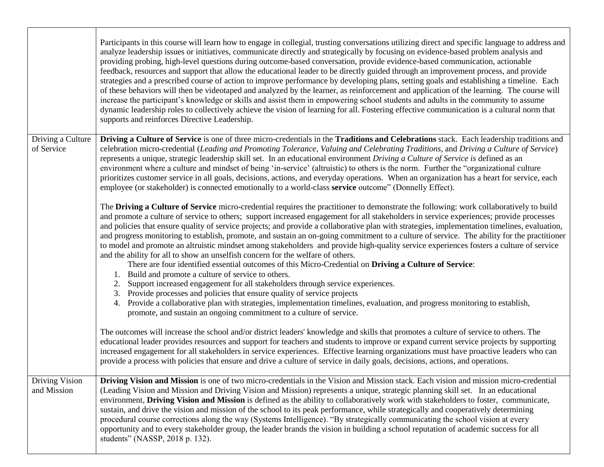|                                 | Participants in this course will learn how to engage in collegial, trusting conversations utilizing direct and specific language to address and<br>analyze leadership issues or initiatives, communicate directly and strategically by focusing on evidence-based problem analysis and<br>providing probing, high-level questions during outcome-based conversation, provide evidence-based communication, actionable<br>feedback, resources and support that allow the educational leader to be directly guided through an improvement process, and provide<br>strategies and a prescribed course of action to improve performance by developing plans, setting goals and establishing a timeline. Each<br>of these behaviors will then be videotaped and analyzed by the learner, as reinforcement and application of the learning. The course will<br>increase the participant's knowledge or skills and assist them in empowering school students and adults in the community to assume<br>dynamic leadership roles to collectively achieve the vision of learning for all. Fostering effective communication is a cultural norm that<br>supports and reinforces Directive Leadership. |
|---------------------------------|--------------------------------------------------------------------------------------------------------------------------------------------------------------------------------------------------------------------------------------------------------------------------------------------------------------------------------------------------------------------------------------------------------------------------------------------------------------------------------------------------------------------------------------------------------------------------------------------------------------------------------------------------------------------------------------------------------------------------------------------------------------------------------------------------------------------------------------------------------------------------------------------------------------------------------------------------------------------------------------------------------------------------------------------------------------------------------------------------------------------------------------------------------------------------------------------|
| Driving a Culture<br>of Service | Driving a Culture of Service is one of three micro-credentials in the Traditions and Celebrations stack. Each leadership traditions and<br>celebration micro-credential (Leading and Promoting Tolerance, Valuing and Celebrating Traditions, and Driving a Culture of Service)<br>represents a unique, strategic leadership skill set. In an educational environment Driving a Culture of Service is defined as an<br>environment where a culture and mindset of being 'in-service' (altruistic) to others is the norm. Further the "organizational culture<br>prioritizes customer service in all goals, decisions, actions, and everyday operations. When an organization has a heart for service, each<br>employee (or stakeholder) is connected emotionally to a world-class service outcome" (Donnelly Effect).                                                                                                                                                                                                                                                                                                                                                                      |
|                                 | The Driving a Culture of Service micro-credential requires the practitioner to demonstrate the following: work collaboratively to build<br>and promote a culture of service to others; support increased engagement for all stakeholders in service experiences; provide processes<br>and policies that ensure quality of service projects; and provide a collaborative plan with strategies, implementation timelines, evaluation,<br>and progress monitoring to establish, promote, and sustain an on-going commitment to a culture of service. The ability for the practitioner<br>to model and promote an altruistic mindset among stakeholders and provide high-quality service experiences fosters a culture of service<br>and the ability for all to show an unselfish concern for the welfare of others.<br>There are four identified essential outcomes of this Micro-Credential on Driving a Culture of Service:<br>Build and promote a culture of service to others.<br>1.                                                                                                                                                                                                      |
|                                 | Support increased engagement for all stakeholders through service experiences.<br>2.<br>Provide processes and policies that ensure quality of service projects<br>3.<br>4. Provide a collaborative plan with strategies, implementation timelines, evaluation, and progress monitoring to establish,<br>promote, and sustain an ongoing commitment to a culture of service.                                                                                                                                                                                                                                                                                                                                                                                                                                                                                                                                                                                                                                                                                                                                                                                                                |
|                                 | The outcomes will increase the school and/or district leaders' knowledge and skills that promotes a culture of service to others. The<br>educational leader provides resources and support for teachers and students to improve or expand current service projects by supporting<br>increased engagement for all stakeholders in service experiences. Effective learning organizations must have proactive leaders who can<br>provide a process with policies that ensure and drive a culture of service in daily goals, decisions, actions, and operations.                                                                                                                                                                                                                                                                                                                                                                                                                                                                                                                                                                                                                               |
| Driving Vision<br>and Mission   | Driving Vision and Mission is one of two micro-credentials in the Vision and Mission stack. Each vision and mission micro-credential<br>(Leading Vision and Mission and Driving Vision and Mission) represents a unique, strategic planning skill set. In an educational<br>environment, Driving Vision and Mission is defined as the ability to collaboratively work with stakeholders to foster, communicate,<br>sustain, and drive the vision and mission of the school to its peak performance, while strategically and cooperatively determining<br>procedural course corrections along the way (Systems Intelligence). "By strategically communicating the school vision at every<br>opportunity and to every stakeholder group, the leader brands the vision in building a school reputation of academic success for all<br>students" (NASSP, 2018 p. 132).                                                                                                                                                                                                                                                                                                                         |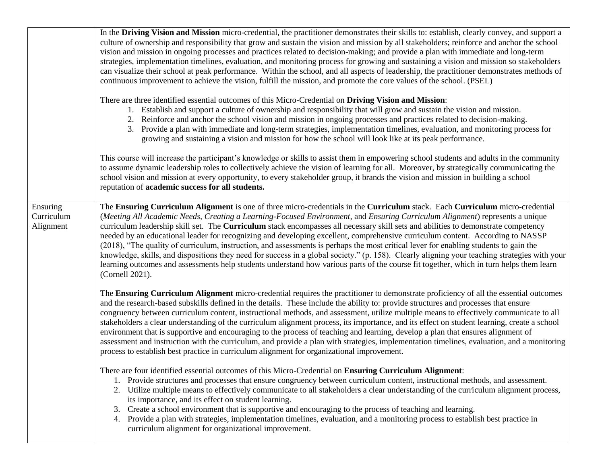|                                     | In the Driving Vision and Mission micro-credential, the practitioner demonstrates their skills to: establish, clearly convey, and support a<br>culture of ownership and responsibility that grow and sustain the vision and mission by all stakeholders; reinforce and anchor the school<br>vision and mission in ongoing processes and practices related to decision-making; and provide a plan with immediate and long-term<br>strategies, implementation timelines, evaluation, and monitoring process for growing and sustaining a vision and mission so stakeholders<br>can visualize their school at peak performance. Within the school, and all aspects of leadership, the practitioner demonstrates methods of<br>continuous improvement to achieve the vision, fulfill the mission, and promote the core values of the school. (PSEL)                                                                                                                                               |
|-------------------------------------|-----------------------------------------------------------------------------------------------------------------------------------------------------------------------------------------------------------------------------------------------------------------------------------------------------------------------------------------------------------------------------------------------------------------------------------------------------------------------------------------------------------------------------------------------------------------------------------------------------------------------------------------------------------------------------------------------------------------------------------------------------------------------------------------------------------------------------------------------------------------------------------------------------------------------------------------------------------------------------------------------|
|                                     | There are three identified essential outcomes of this Micro-Credential on Driving Vision and Mission:<br>1. Establish and support a culture of ownership and responsibility that will grow and sustain the vision and mission.<br>2. Reinforce and anchor the school vision and mission in ongoing processes and practices related to decision-making.<br>3. Provide a plan with immediate and long-term strategies, implementation timelines, evaluation, and monitoring process for<br>growing and sustaining a vision and mission for how the school will look like at its peak performance.                                                                                                                                                                                                                                                                                                                                                                                               |
|                                     | This course will increase the participant's knowledge or skills to assist them in empowering school students and adults in the community<br>to assume dynamic leadership roles to collectively achieve the vision of learning for all. Moreover, by strategically communicating the<br>school vision and mission at every opportunity, to every stakeholder group, it brands the vision and mission in building a school<br>reputation of academic success for all students.                                                                                                                                                                                                                                                                                                                                                                                                                                                                                                                  |
| Ensuring<br>Curriculum<br>Alignment | The Ensuring Curriculum Alignment is one of three micro-credentials in the Curriculum stack. Each Curriculum micro-credential<br>(Meeting All Academic Needs, Creating a Learning-Focused Environment, and Ensuring Curriculum Alignment) represents a unique<br>curriculum leadership skill set. The Curriculum stack encompasses all necessary skill sets and abilities to demonstrate competency<br>needed by an educational leader for recognizing and developing excellent, comprehensive curriculum content. According to NASSP<br>(2018), "The quality of curriculum, instruction, and assessments is perhaps the most critical lever for enabling students to gain the<br>knowledge, skills, and dispositions they need for success in a global society." (p. 158). Clearly aligning your teaching strategies with your<br>learning outcomes and assessments help students understand how various parts of the course fit together, which in turn helps them learn<br>(Cornell 2021). |
|                                     | The Ensuring Curriculum Alignment micro-credential requires the practitioner to demonstrate proficiency of all the essential outcomes<br>and the research-based subskills defined in the details. These include the ability to: provide structures and processes that ensure<br>congruency between curriculum content, instructional methods, and assessment, utilize multiple means to effectively communicate to all<br>stakeholders a clear understanding of the curriculum alignment process, its importance, and its effect on student learning, create a school<br>environment that is supportive and encouraging to the process of teaching and learning, develop a plan that ensures alignment of<br>assessment and instruction with the curriculum, and provide a plan with strategies, implementation timelines, evaluation, and a monitoring<br>process to establish best practice in curriculum alignment for organizational improvement.                                         |
|                                     | There are four identified essential outcomes of this Micro-Credential on Ensuring Curriculum Alignment:<br>Provide structures and processes that ensure congruency between curriculum content, instructional methods, and assessment.<br>1.<br>Utilize multiple means to effectively communicate to all stakeholders a clear understanding of the curriculum alignment process,<br>2.<br>its importance, and its effect on student learning.<br>Create a school environment that is supportive and encouraging to the process of teaching and learning.<br>3.<br>4. Provide a plan with strategies, implementation timelines, evaluation, and a monitoring process to establish best practice in<br>curriculum alignment for organizational improvement.                                                                                                                                                                                                                                      |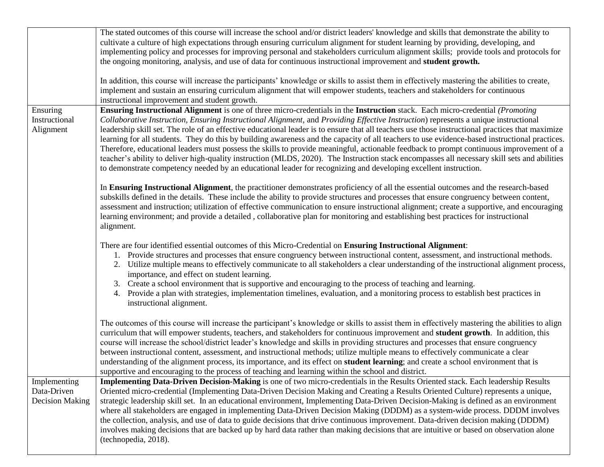|                                                       | The stated outcomes of this course will increase the school and/or district leaders' knowledge and skills that demonstrate the ability to<br>cultivate a culture of high expectations through ensuring curriculum alignment for student learning by providing, developing, and<br>implementing policy and processes for improving personal and stakeholders curriculum alignment skills; provide tools and protocols for<br>the ongoing monitoring, analysis, and use of data for continuous instructional improvement and student growth.                                                                                                                                                                                                                                                                                                                                                                                                                                              |
|-------------------------------------------------------|-----------------------------------------------------------------------------------------------------------------------------------------------------------------------------------------------------------------------------------------------------------------------------------------------------------------------------------------------------------------------------------------------------------------------------------------------------------------------------------------------------------------------------------------------------------------------------------------------------------------------------------------------------------------------------------------------------------------------------------------------------------------------------------------------------------------------------------------------------------------------------------------------------------------------------------------------------------------------------------------|
|                                                       | In addition, this course will increase the participants' knowledge or skills to assist them in effectively mastering the abilities to create,<br>implement and sustain an ensuring curriculum alignment that will empower students, teachers and stakeholders for continuous<br>instructional improvement and student growth.                                                                                                                                                                                                                                                                                                                                                                                                                                                                                                                                                                                                                                                           |
| Ensuring<br>Instructional<br>Alignment                | Ensuring Instructional Alignment is one of three micro-credentials in the Instruction stack. Each micro-credential (Promoting<br>Collaborative Instruction, Ensuring Instructional Alignment, and Providing Effective Instruction) represents a unique instructional<br>leadership skill set. The role of an effective educational leader is to ensure that all teachers use those instructional practices that maximize<br>learning for all students. They do this by building awareness and the capacity of all teachers to use evidence-based instructional practices.<br>Therefore, educational leaders must possess the skills to provide meaningful, actionable feedback to prompt continuous improvement of a<br>teacher's ability to deliver high-quality instruction (MLDS, 2020). The Instruction stack encompasses all necessary skill sets and abilities<br>to demonstrate competency needed by an educational leader for recognizing and developing excellent instruction. |
|                                                       | In Ensuring Instructional Alignment, the practitioner demonstrates proficiency of all the essential outcomes and the research-based<br>subskills defined in the details. These include the ability to provide structures and processes that ensure congruency between content,<br>assessment and instruction; utilization of effective communication to ensure instructional alignment; create a supportive, and encouraging<br>learning environment; and provide a detailed, collaborative plan for monitoring and establishing best practices for instructional<br>alignment.                                                                                                                                                                                                                                                                                                                                                                                                         |
|                                                       | There are four identified essential outcomes of this Micro-Credential on Ensuring Instructional Alignment:<br>1. Provide structures and processes that ensure congruency between instructional content, assessment, and instructional methods.<br>2. Utilize multiple means to effectively communicate to all stakeholders a clear understanding of the instructional alignment process,<br>importance, and effect on student learning.<br>3. Create a school environment that is supportive and encouraging to the process of teaching and learning.<br>4. Provide a plan with strategies, implementation timelines, evaluation, and a monitoring process to establish best practices in<br>instructional alignment.                                                                                                                                                                                                                                                                   |
|                                                       | The outcomes of this course will increase the participant's knowledge or skills to assist them in effectively mastering the abilities to align<br>curriculum that will empower students, teachers, and stakeholders for continuous improvement and <b>student growth</b> . In addition, this<br>course will increase the school/district leader's knowledge and skills in providing structures and processes that ensure congruency<br>between instructional content, assessment, and instructional methods; utilize multiple means to effectively communicate a clear<br>understanding of the alignment process, its importance, and its effect on <b>student learning</b> ; and create a school environment that is<br>supportive and encouraging to the process of teaching and learning within the school and district.                                                                                                                                                             |
| Implementing<br>Data-Driven<br><b>Decision Making</b> | Implementing Data-Driven Decision-Making is one of two micro-credentials in the Results Oriented stack. Each leadership Results<br>Oriented micro-credential (Implementing Data-Driven Decision Making and Creating a Results Oriented Culture) represents a unique,<br>strategic leadership skill set. In an educational environment, Implementing Data-Driven Decision-Making is defined as an environment<br>where all stakeholders are engaged in implementing Data-Driven Decision Making (DDDM) as a system-wide process. DDDM involves<br>the collection, analysis, and use of data to guide decisions that drive continuous improvement. Data-driven decision making (DDDM)<br>involves making decisions that are backed up by hard data rather than making decisions that are intuitive or based on observation alone<br>(technopedia, 2018).                                                                                                                                  |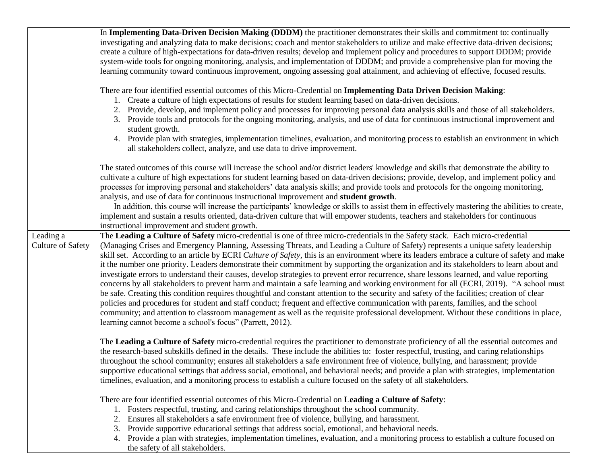|                                       | In Implementing Data-Driven Decision Making (DDDM) the practitioner demonstrates their skills and commitment to: continually<br>investigating and analyzing data to make decisions; coach and mentor stakeholders to utilize and make effective data-driven decisions;<br>create a culture of high-expectations for data-driven results; develop and implement policy and procedures to support DDDM; provide<br>system-wide tools for ongoing monitoring, analysis, and implementation of DDDM; and provide a comprehensive plan for moving the<br>learning community toward continuous improvement, ongoing assessing goal attainment, and achieving of effective, focused results.                                                                                                                                                                                                                                                                                                                                                                                                                                                                                                                                                                                                                                                            |
|---------------------------------------|--------------------------------------------------------------------------------------------------------------------------------------------------------------------------------------------------------------------------------------------------------------------------------------------------------------------------------------------------------------------------------------------------------------------------------------------------------------------------------------------------------------------------------------------------------------------------------------------------------------------------------------------------------------------------------------------------------------------------------------------------------------------------------------------------------------------------------------------------------------------------------------------------------------------------------------------------------------------------------------------------------------------------------------------------------------------------------------------------------------------------------------------------------------------------------------------------------------------------------------------------------------------------------------------------------------------------------------------------|
|                                       | There are four identified essential outcomes of this Micro-Credential on Implementing Data Driven Decision Making:<br>1. Create a culture of high expectations of results for student learning based on data-driven decisions.<br>2. Provide, develop, and implement policy and processes for improving personal data analysis skills and those of all stakeholders.<br>3. Provide tools and protocols for the ongoing monitoring, analysis, and use of data for continuous instructional improvement and<br>student growth.<br>4. Provide plan with strategies, implementation timelines, evaluation, and monitoring process to establish an environment in which<br>all stakeholders collect, analyze, and use data to drive improvement.                                                                                                                                                                                                                                                                                                                                                                                                                                                                                                                                                                                                      |
|                                       | The stated outcomes of this course will increase the school and/or district leaders' knowledge and skills that demonstrate the ability to<br>cultivate a culture of high expectations for student learning based on data-driven decisions; provide, develop, and implement policy and<br>processes for improving personal and stakeholders' data analysis skills; and provide tools and protocols for the ongoing monitoring,<br>analysis, and use of data for continuous instructional improvement and student growth.<br>In addition, this course will increase the participants' knowledge or skills to assist them in effectively mastering the abilities to create,<br>implement and sustain a results oriented, data-driven culture that will empower students, teachers and stakeholders for continuous<br>instructional improvement and student growth.                                                                                                                                                                                                                                                                                                                                                                                                                                                                                  |
| Leading a<br><b>Culture of Safety</b> | The Leading a Culture of Safety micro-credential is one of three micro-credentials in the Safety stack. Each micro-credential<br>(Managing Crises and Emergency Planning, Assessing Threats, and Leading a Culture of Safety) represents a unique safety leadership<br>skill set. According to an article by ECRI Culture of Safety, this is an environment where its leaders embrace a culture of safety and make<br>it the number one priority. Leaders demonstrate their commitment by supporting the organization and its stakeholders to learn about and<br>investigate errors to understand their causes, develop strategies to prevent error recurrence, share lessons learned, and value reporting<br>concerns by all stakeholders to prevent harm and maintain a safe learning and working environment for all (ECRI, 2019). "A school must<br>be safe. Creating this condition requires thoughtful and constant attention to the security and safety of the facilities; creation of clear<br>policies and procedures for student and staff conduct; frequent and effective communication with parents, families, and the school<br>community; and attention to classroom management as well as the requisite professional development. Without these conditions in place,<br>learning cannot become a school's focus" (Parrett, 2012). |
|                                       | The Leading a Culture of Safety micro-credential requires the practitioner to demonstrate proficiency of all the essential outcomes and<br>the research-based subskills defined in the details. These include the abilities to: foster respectful, trusting, and caring relationships<br>throughout the school community; ensures all stakeholders a safe environment free of violence, bullying, and harassment; provide<br>supportive educational settings that address social, emotional, and behavioral needs; and provide a plan with strategies, implementation<br>timelines, evaluation, and a monitoring process to establish a culture focused on the safety of all stakeholders.                                                                                                                                                                                                                                                                                                                                                                                                                                                                                                                                                                                                                                                       |
|                                       | There are four identified essential outcomes of this Micro-Credential on Leading a Culture of Safety:<br>1. Fosters respectful, trusting, and caring relationships throughout the school community.<br>2. Ensures all stakeholders a safe environment free of violence, bullying, and harassment.<br>Provide supportive educational settings that address social, emotional, and behavioral needs.<br>3.<br>4. Provide a plan with strategies, implementation timelines, evaluation, and a monitoring process to establish a culture focused on<br>the safety of all stakeholders.                                                                                                                                                                                                                                                                                                                                                                                                                                                                                                                                                                                                                                                                                                                                                               |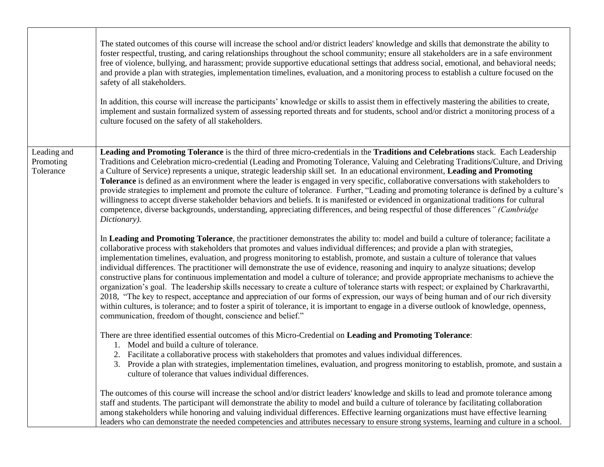|                                       | The stated outcomes of this course will increase the school and/or district leaders' knowledge and skills that demonstrate the ability to<br>foster respectful, trusting, and caring relationships throughout the school community; ensure all stakeholders are in a safe environment<br>free of violence, bullying, and harassment; provide supportive educational settings that address social, emotional, and behavioral needs;<br>and provide a plan with strategies, implementation timelines, evaluation, and a monitoring process to establish a culture focused on the<br>safety of all stakeholders.<br>In addition, this course will increase the participants' knowledge or skills to assist them in effectively mastering the abilities to create,<br>implement and sustain formalized system of assessing reported threats and for students, school and/or district a monitoring process of a<br>culture focused on the safety of all stakeholders.                                                                                                                                                                                                                              |
|---------------------------------------|-----------------------------------------------------------------------------------------------------------------------------------------------------------------------------------------------------------------------------------------------------------------------------------------------------------------------------------------------------------------------------------------------------------------------------------------------------------------------------------------------------------------------------------------------------------------------------------------------------------------------------------------------------------------------------------------------------------------------------------------------------------------------------------------------------------------------------------------------------------------------------------------------------------------------------------------------------------------------------------------------------------------------------------------------------------------------------------------------------------------------------------------------------------------------------------------------|
| Leading and<br>Promoting<br>Tolerance | Leading and Promoting Tolerance is the third of three micro-credentials in the Traditions and Celebrations stack. Each Leadership<br>Traditions and Celebration micro-credential (Leading and Promoting Tolerance, Valuing and Celebrating Traditions/Culture, and Driving<br>a Culture of Service) represents a unique, strategic leadership skill set. In an educational environment, Leading and Promoting<br>Tolerance is defined as an environment where the leader is engaged in very specific, collaborative conversations with stakeholders to<br>provide strategies to implement and promote the culture of tolerance. Further, "Leading and promoting tolerance is defined by a culture's<br>willingness to accept diverse stakeholder behaviors and beliefs. It is manifested or evidenced in organizational traditions for cultural<br>competence, diverse backgrounds, understanding, appreciating differences, and being respectful of those differences" (Cambridge<br>Dictionary).                                                                                                                                                                                            |
|                                       | In Leading and Promoting Tolerance, the practitioner demonstrates the ability to: model and build a culture of tolerance; facilitate a<br>collaborative process with stakeholders that promotes and values individual differences; and provide a plan with strategies,<br>implementation timelines, evaluation, and progress monitoring to establish, promote, and sustain a culture of tolerance that values<br>individual differences. The practitioner will demonstrate the use of evidence, reasoning and inquiry to analyze situations; develop<br>constructive plans for continuous implementation and model a culture of tolerance; and provide appropriate mechanisms to achieve the<br>organization's goal. The leadership skills necessary to create a culture of tolerance starts with respect; or explained by Charkravarthi,<br>2018, "The key to respect, acceptance and appreciation of our forms of expression, our ways of being human and of our rich diversity<br>within cultures, is tolerance; and to foster a spirit of tolerance, it is important to engage in a diverse outlook of knowledge, openness,<br>communication, freedom of thought, conscience and belief." |
|                                       | There are three identified essential outcomes of this Micro-Credential on Leading and Promoting Tolerance:<br>1. Model and build a culture of tolerance.<br>2. Facilitate a collaborative process with stakeholders that promotes and values individual differences.<br>3. Provide a plan with strategies, implementation timelines, evaluation, and progress monitoring to establish, promote, and sustain a<br>culture of tolerance that values individual differences.                                                                                                                                                                                                                                                                                                                                                                                                                                                                                                                                                                                                                                                                                                                     |
|                                       | The outcomes of this course will increase the school and/or district leaders' knowledge and skills to lead and promote tolerance among<br>staff and students. The participant will demonstrate the ability to model and build a culture of tolerance by facilitating collaboration<br>among stakeholders while honoring and valuing individual differences. Effective learning organizations must have effective learning<br>leaders who can demonstrate the needed competencies and attributes necessary to ensure strong systems, learning and culture in a school.                                                                                                                                                                                                                                                                                                                                                                                                                                                                                                                                                                                                                         |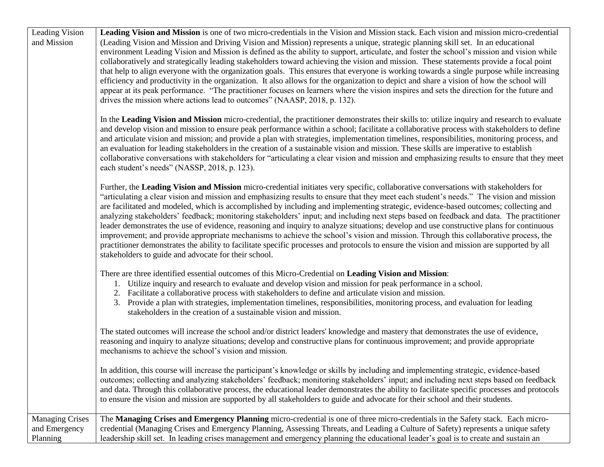| Leading Vision<br>and Mission                       | Leading Vision and Mission is one of two micro-credentials in the Vision and Mission stack. Each vision and mission micro-credential<br>(Leading Vision and Mission and Driving Vision and Mission) represents a unique, strategic planning skill set. In an educational<br>environment Leading Vision and Mission is defined as the ability to support, articulate, and foster the school's mission and vision while<br>collaboratively and strategically leading stakeholders toward achieving the vision and mission. These statements provide a focal point<br>that help to align everyone with the organization goals. This ensures that everyone is working towards a single purpose while increasing<br>efficiency and productivity in the organization. It also allows for the organization to depict and share a vision of how the school will<br>appear at its peak performance. "The practitioner focuses on learners where the vision inspires and sets the direction for the future and<br>drives the mission where actions lead to outcomes" (NAASP, 2018, p. 132). |
|-----------------------------------------------------|-----------------------------------------------------------------------------------------------------------------------------------------------------------------------------------------------------------------------------------------------------------------------------------------------------------------------------------------------------------------------------------------------------------------------------------------------------------------------------------------------------------------------------------------------------------------------------------------------------------------------------------------------------------------------------------------------------------------------------------------------------------------------------------------------------------------------------------------------------------------------------------------------------------------------------------------------------------------------------------------------------------------------------------------------------------------------------------|
|                                                     | In the Leading Vision and Mission micro-credential, the practitioner demonstrates their skills to: utilize inquiry and research to evaluate<br>and develop vision and mission to ensure peak performance within a school; facilitate a collaborative process with stakeholders to define<br>and articulate vision and mission; and provide a plan with strategies, implementation timelines, responsibilities, monitoring process, and<br>an evaluation for leading stakeholders in the creation of a sustainable vision and mission. These skills are imperative to establish<br>collaborative conversations with stakeholders for "articulating a clear vision and mission and emphasizing results to ensure that they meet<br>each student's needs" (NASSP, 2018, p. 123).                                                                                                                                                                                                                                                                                                     |
|                                                     | Further, the Leading Vision and Mission micro-credential initiates very specific, collaborative conversations with stakeholders for<br>"articulating a clear vision and mission and emphasizing results to ensure that they meet each student's needs." The vision and mission<br>are facilitated and modeled, which is accomplished by including and implementing strategic, evidence-based outcomes; collecting and<br>analyzing stakeholders' feedback; monitoring stakeholders' input; and including next steps based on feedback and data. The practitioner<br>leader demonstrates the use of evidence, reasoning and inquiry to analyze situations; develop and use constructive plans for continuous<br>improvement; and provide appropriate mechanisms to achieve the school's vision and mission. Through this collaborative process, the<br>practitioner demonstrates the ability to facilitate specific processes and protocols to ensure the vision and mission are supported by all<br>stakeholders to guide and advocate for their school.                          |
|                                                     | There are three identified essential outcomes of this Micro-Credential on Leading Vision and Mission:<br>1. Utilize inquiry and research to evaluate and develop vision and mission for peak performance in a school.<br>2. Facilitate a collaborative process with stakeholders to define and articulate vision and mission.<br>3. Provide a plan with strategies, implementation timelines, responsibilities, monitoring process, and evaluation for leading<br>stakeholders in the creation of a sustainable vision and mission.                                                                                                                                                                                                                                                                                                                                                                                                                                                                                                                                               |
|                                                     | The stated outcomes will increase the school and/or district leaders' knowledge and mastery that demonstrates the use of evidence,<br>reasoning and inquiry to analyze situations; develop and constructive plans for continuous improvement; and provide appropriate<br>mechanisms to achieve the school's vision and mission.                                                                                                                                                                                                                                                                                                                                                                                                                                                                                                                                                                                                                                                                                                                                                   |
|                                                     | In addition, this course will increase the participant's knowledge or skills by including and implementing strategic, evidence-based<br>outcomes; collecting and analyzing stakeholders' feedback; monitoring stakeholders' input; and including next steps based on feedback<br>and data. Through this collaborative process, the educational leader demonstrates the ability to facilitate specific processes and protocols<br>to ensure the vision and mission are supported by all stakeholders to guide and advocate for their school and their students.                                                                                                                                                                                                                                                                                                                                                                                                                                                                                                                    |
| <b>Managing Crises</b><br>and Emergency<br>Planning | The Managing Crises and Emergency Planning micro-credential is one of three micro-credentials in the Safety stack. Each micro-<br>credential (Managing Crises and Emergency Planning, Assessing Threats, and Leading a Culture of Safety) represents a unique safety<br>leadership skill set. In leading crises management and emergency planning the educational leader's goal is to create and sustain an                                                                                                                                                                                                                                                                                                                                                                                                                                                                                                                                                                                                                                                                       |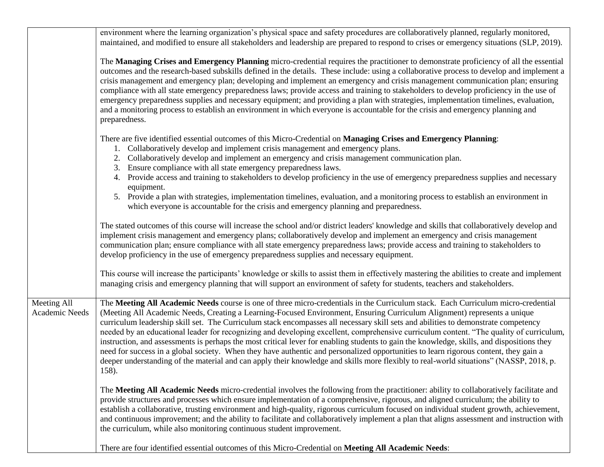|                               | environment where the learning organization's physical space and safety procedures are collaboratively planned, regularly monitored,<br>maintained, and modified to ensure all stakeholders and leadership are prepared to respond to crises or emergency situations (SLP, 2019).                                                                                                                                                                                                                                                                                                                                                                                                                                                                                                                                                                                                                                                                                                       |
|-------------------------------|-----------------------------------------------------------------------------------------------------------------------------------------------------------------------------------------------------------------------------------------------------------------------------------------------------------------------------------------------------------------------------------------------------------------------------------------------------------------------------------------------------------------------------------------------------------------------------------------------------------------------------------------------------------------------------------------------------------------------------------------------------------------------------------------------------------------------------------------------------------------------------------------------------------------------------------------------------------------------------------------|
|                               | The Managing Crises and Emergency Planning micro-credential requires the practitioner to demonstrate proficiency of all the essential<br>outcomes and the research-based subskills defined in the details. These include: using a collaborative process to develop and implement a<br>crisis management and emergency plan; developing and implement an emergency and crisis management communication plan; ensuring<br>compliance with all state emergency preparedness laws; provide access and training to stakeholders to develop proficiency in the use of<br>emergency preparedness supplies and necessary equipment; and providing a plan with strategies, implementation timelines, evaluation,<br>and a monitoring process to establish an environment in which everyone is accountable for the crisis and emergency planning and<br>preparedness.                                                                                                                             |
|                               | There are five identified essential outcomes of this Micro-Credential on <b>Managing Crises and Emergency Planning</b> :                                                                                                                                                                                                                                                                                                                                                                                                                                                                                                                                                                                                                                                                                                                                                                                                                                                                |
|                               | 1. Collaboratively develop and implement crisis management and emergency plans.                                                                                                                                                                                                                                                                                                                                                                                                                                                                                                                                                                                                                                                                                                                                                                                                                                                                                                         |
|                               | Collaboratively develop and implement an emergency and crisis management communication plan.<br>2.<br>Ensure compliance with all state emergency preparedness laws.<br>3.                                                                                                                                                                                                                                                                                                                                                                                                                                                                                                                                                                                                                                                                                                                                                                                                               |
|                               | 4. Provide access and training to stakeholders to develop proficiency in the use of emergency preparedness supplies and necessary<br>equipment.                                                                                                                                                                                                                                                                                                                                                                                                                                                                                                                                                                                                                                                                                                                                                                                                                                         |
|                               | 5. Provide a plan with strategies, implementation timelines, evaluation, and a monitoring process to establish an environment in<br>which everyone is accountable for the crisis and emergency planning and preparedness.                                                                                                                                                                                                                                                                                                                                                                                                                                                                                                                                                                                                                                                                                                                                                               |
|                               | The stated outcomes of this course will increase the school and/or district leaders' knowledge and skills that collaboratively develop and<br>implement crisis management and emergency plans; collaboratively develop and implement an emergency and crisis management<br>communication plan; ensure compliance with all state emergency preparedness laws; provide access and training to stakeholders to<br>develop proficiency in the use of emergency preparedness supplies and necessary equipment.                                                                                                                                                                                                                                                                                                                                                                                                                                                                               |
|                               | This course will increase the participants' knowledge or skills to assist them in effectively mastering the abilities to create and implement<br>managing crisis and emergency planning that will support an environment of safety for students, teachers and stakeholders.                                                                                                                                                                                                                                                                                                                                                                                                                                                                                                                                                                                                                                                                                                             |
| Meeting All<br>Academic Needs | The Meeting All Academic Needs course is one of three micro-credentials in the Curriculum stack. Each Curriculum micro-credential<br>(Meeting All Academic Needs, Creating a Learning-Focused Environment, Ensuring Curriculum Alignment) represents a unique<br>curriculum leadership skill set. The Curriculum stack encompasses all necessary skill sets and abilities to demonstrate competency<br>needed by an educational leader for recognizing and developing excellent, comprehensive curriculum content. "The quality of curriculum,<br>instruction, and assessments is perhaps the most critical lever for enabling students to gain the knowledge, skills, and dispositions they<br>need for success in a global society. When they have authentic and personalized opportunities to learn rigorous content, they gain a<br>deeper understanding of the material and can apply their knowledge and skills more flexibly to real-world situations" (NASSP, 2018, p.<br>158). |
|                               | The Meeting All Academic Needs micro-credential involves the following from the practitioner: ability to collaboratively facilitate and<br>provide structures and processes which ensure implementation of a comprehensive, rigorous, and aligned curriculum; the ability to<br>establish a collaborative, trusting environment and high-quality, rigorous curriculum focused on individual student growth, achievement,<br>and continuous improvement; and the ability to facilitate and collaboratively implement a plan that aligns assessment and instruction with<br>the curriculum, while also monitoring continuous student improvement.                                                                                                                                                                                                                                                                                                                                         |
|                               | There are four identified essential outcomes of this Micro-Credential on Meeting All Academic Needs:                                                                                                                                                                                                                                                                                                                                                                                                                                                                                                                                                                                                                                                                                                                                                                                                                                                                                    |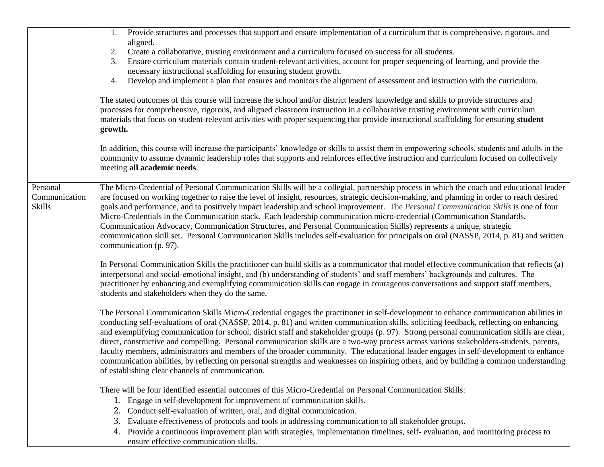|                                            | Provide structures and processes that support and ensure implementation of a curriculum that is comprehensive, rigorous, and<br>1.                                                                                                                                                                                                                                                                                                                                                                                                                                                                                                                                                                                                                                                                                                                                                                             |
|--------------------------------------------|----------------------------------------------------------------------------------------------------------------------------------------------------------------------------------------------------------------------------------------------------------------------------------------------------------------------------------------------------------------------------------------------------------------------------------------------------------------------------------------------------------------------------------------------------------------------------------------------------------------------------------------------------------------------------------------------------------------------------------------------------------------------------------------------------------------------------------------------------------------------------------------------------------------|
|                                            | aligned.<br>Create a collaborative, trusting environment and a curriculum focused on success for all students.<br>2.                                                                                                                                                                                                                                                                                                                                                                                                                                                                                                                                                                                                                                                                                                                                                                                           |
|                                            | Ensure curriculum materials contain student-relevant activities, account for proper sequencing of learning, and provide the<br>3.                                                                                                                                                                                                                                                                                                                                                                                                                                                                                                                                                                                                                                                                                                                                                                              |
|                                            | necessary instructional scaffolding for ensuring student growth.                                                                                                                                                                                                                                                                                                                                                                                                                                                                                                                                                                                                                                                                                                                                                                                                                                               |
|                                            | Develop and implement a plan that ensures and monitors the alignment of assessment and instruction with the curriculum.<br>4.                                                                                                                                                                                                                                                                                                                                                                                                                                                                                                                                                                                                                                                                                                                                                                                  |
|                                            |                                                                                                                                                                                                                                                                                                                                                                                                                                                                                                                                                                                                                                                                                                                                                                                                                                                                                                                |
|                                            | The stated outcomes of this course will increase the school and/or district leaders' knowledge and skills to provide structures and<br>processes for comprehensive, rigorous, and aligned classroom instruction in a collaborative trusting environment with curriculum<br>materials that focus on student-relevant activities with proper sequencing that provide instructional scaffolding for ensuring <b>student</b><br>growth.                                                                                                                                                                                                                                                                                                                                                                                                                                                                            |
|                                            | In addition, this course will increase the participants' knowledge or skills to assist them in empowering schools, students and adults in the<br>community to assume dynamic leadership roles that supports and reinforces effective instruction and curriculum focused on collectively<br>meeting all academic needs.                                                                                                                                                                                                                                                                                                                                                                                                                                                                                                                                                                                         |
| Personal<br>Communication<br><b>Skills</b> | The Micro-Credential of Personal Communication Skills will be a collegial, partnership process in which the coach and educational leader<br>are focused on working together to raise the level of insight, resources, strategic decision-making, and planning in order to reach desired<br>goals and performance, and to positively impact leadership and school improvement. The Personal Communication Skills is one of four<br>Micro-Credentials in the Communication stack. Each leadership communication micro-credential (Communication Standards,<br>Communication Advocacy, Communication Structures, and Personal Communication Skills) represents a unique, strategic<br>communication skill set. Personal Communication Skills includes self-evaluation for principals on oral (NASSP, 2014, p. 81) and written<br>communication (p. 97).                                                           |
|                                            | In Personal Communication Skills the practitioner can build skills as a communicator that model effective communication that reflects (a)<br>interpersonal and social-emotional insight, and (b) understanding of students' and staff members' backgrounds and cultures. The<br>practitioner by enhancing and exemplifying communication skills can engage in courageous conversations and support staff members,<br>students and stakeholders when they do the same.                                                                                                                                                                                                                                                                                                                                                                                                                                          |
|                                            | The Personal Communication Skills Micro-Credential engages the practitioner in self-development to enhance communication abilities in<br>conducting self-evaluations of oral (NASSP, 2014, p. 81) and written communication skills, soliciting feedback, reflecting on enhancing<br>and exemplifying communication for school, district staff and stakeholder groups (p. 97). Strong personal communication skills are clear,<br>direct, constructive and compelling. Personal communication skills are a two-way process across various stakeholders-students, parents,<br>faculty members, administrators and members of the broader community. The educational leader engages in self-development to enhance<br>communication abilities, by reflecting on personal strengths and weaknesses on inspiring others, and by building a common understanding<br>of establishing clear channels of communication. |
|                                            | There will be four identified essential outcomes of this Micro-Credential on Personal Communication Skills:                                                                                                                                                                                                                                                                                                                                                                                                                                                                                                                                                                                                                                                                                                                                                                                                    |
|                                            | Engage in self-development for improvement of communication skills.<br>1.                                                                                                                                                                                                                                                                                                                                                                                                                                                                                                                                                                                                                                                                                                                                                                                                                                      |
|                                            | Conduct self-evaluation of written, oral, and digital communication.<br>2.                                                                                                                                                                                                                                                                                                                                                                                                                                                                                                                                                                                                                                                                                                                                                                                                                                     |
|                                            | Evaluate effectiveness of protocols and tools in addressing communication to all stakeholder groups.<br>3.                                                                                                                                                                                                                                                                                                                                                                                                                                                                                                                                                                                                                                                                                                                                                                                                     |
|                                            | Provide a continuous improvement plan with strategies, implementation timelines, self-evaluation, and monitoring process to<br>4.<br>ensure effective communication skills.                                                                                                                                                                                                                                                                                                                                                                                                                                                                                                                                                                                                                                                                                                                                    |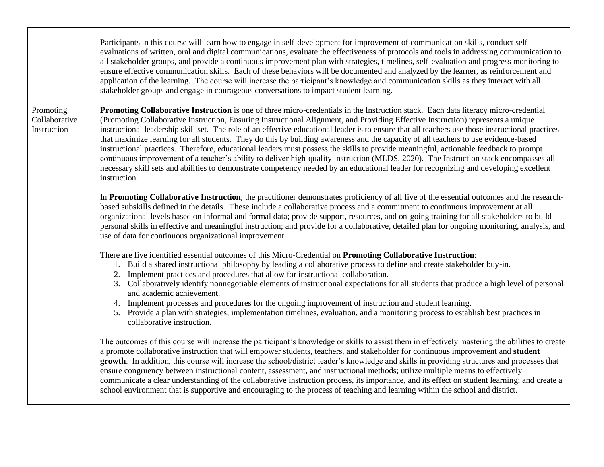|                                           | Participants in this course will learn how to engage in self-development for improvement of communication skills, conduct self-<br>evaluations of written, oral and digital communications, evaluate the effectiveness of protocols and tools in addressing communication to<br>all stakeholder groups, and provide a continuous improvement plan with strategies, timelines, self-evaluation and progress monitoring to<br>ensure effective communication skills. Each of these behaviors will be documented and analyzed by the learner, as reinforcement and<br>application of the learning. The course will increase the participant's knowledge and communication skills as they interact with all<br>stakeholder groups and engage in courageous conversations to impact student learning.                                                                                                                                                                                                            |
|-------------------------------------------|-------------------------------------------------------------------------------------------------------------------------------------------------------------------------------------------------------------------------------------------------------------------------------------------------------------------------------------------------------------------------------------------------------------------------------------------------------------------------------------------------------------------------------------------------------------------------------------------------------------------------------------------------------------------------------------------------------------------------------------------------------------------------------------------------------------------------------------------------------------------------------------------------------------------------------------------------------------------------------------------------------------|
| Promoting<br>Collaborative<br>Instruction | Promoting Collaborative Instruction is one of three micro-credentials in the Instruction stack. Each data literacy micro-credential<br>(Promoting Collaborative Instruction, Ensuring Instructional Alignment, and Providing Effective Instruction) represents a unique<br>instructional leadership skill set. The role of an effective educational leader is to ensure that all teachers use those instructional practices<br>that maximize learning for all students. They do this by building awareness and the capacity of all teachers to use evidence-based<br>instructional practices. Therefore, educational leaders must possess the skills to provide meaningful, actionable feedback to prompt<br>continuous improvement of a teacher's ability to deliver high-quality instruction (MLDS, 2020). The Instruction stack encompasses all<br>necessary skill sets and abilities to demonstrate competency needed by an educational leader for recognizing and developing excellent<br>instruction. |
|                                           | In Promoting Collaborative Instruction, the practitioner demonstrates proficiency of all five of the essential outcomes and the research-<br>based subskills defined in the details. These include a collaborative process and a commitment to continuous improvement at all<br>organizational levels based on informal and formal data; provide support, resources, and on-going training for all stakeholders to build<br>personal skills in effective and meaningful instruction; and provide for a collaborative, detailed plan for ongoing monitoring, analysis, and<br>use of data for continuous organizational improvement.                                                                                                                                                                                                                                                                                                                                                                         |
|                                           | There are five identified essential outcomes of this Micro-Credential on Promoting Collaborative Instruction:<br>1. Build a shared instructional philosophy by leading a collaborative process to define and create stakeholder buy-in.<br>2. Implement practices and procedures that allow for instructional collaboration.<br>3. Collaboratively identify nonnegotiable elements of instructional expectations for all students that produce a high level of personal<br>and academic achievement.<br>4. Implement processes and procedures for the ongoing improvement of instruction and student learning.<br>5. Provide a plan with strategies, implementation timelines, evaluation, and a monitoring process to establish best practices in<br>collaborative instruction.                                                                                                                                                                                                                            |
|                                           | The outcomes of this course will increase the participant's knowledge or skills to assist them in effectively mastering the abilities to create<br>a promote collaborative instruction that will empower students, teachers, and stakeholder for continuous improvement and student<br>growth. In addition, this course will increase the school/district leader's knowledge and skills in providing structures and processes that<br>ensure congruency between instructional content, assessment, and instructional methods; utilize multiple means to effectively<br>communicate a clear understanding of the collaborative instruction process, its importance, and its effect on student learning; and create a<br>school environment that is supportive and encouraging to the process of teaching and learning within the school and district.                                                                                                                                                        |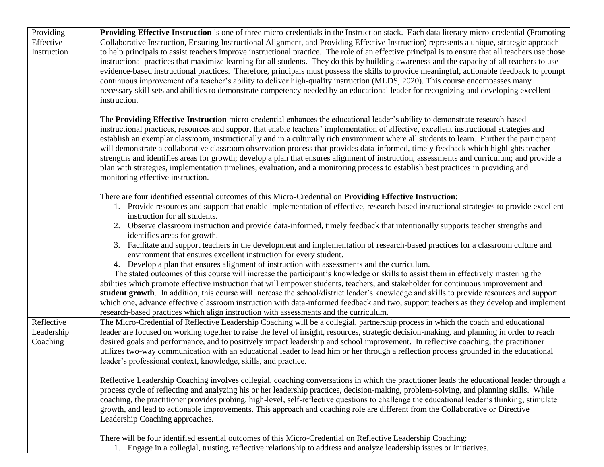| Providing                | Providing Effective Instruction is one of three micro-credentials in the Instruction stack. Each data literacy micro-credential (Promoting                                                                                                                                                     |
|--------------------------|------------------------------------------------------------------------------------------------------------------------------------------------------------------------------------------------------------------------------------------------------------------------------------------------|
| Effective<br>Instruction | Collaborative Instruction, Ensuring Instructional Alignment, and Providing Effective Instruction) represents a unique, strategic approach<br>to help principals to assist teachers improve instructional practice. The role of an effective principal is to ensure that all teachers use those |
|                          | instructional practices that maximize learning for all students. They do this by building awareness and the capacity of all teachers to use                                                                                                                                                    |
|                          | evidence-based instructional practices. Therefore, principals must possess the skills to provide meaningful, actionable feedback to prompt                                                                                                                                                     |
|                          | continuous improvement of a teacher's ability to deliver high-quality instruction (MLDS, 2020). This course encompasses many                                                                                                                                                                   |
|                          | necessary skill sets and abilities to demonstrate competency needed by an educational leader for recognizing and developing excellent                                                                                                                                                          |
|                          | instruction.                                                                                                                                                                                                                                                                                   |
|                          | The Providing Effective Instruction micro-credential enhances the educational leader's ability to demonstrate research-based                                                                                                                                                                   |
|                          | instructional practices, resources and support that enable teachers' implementation of effective, excellent instructional strategies and                                                                                                                                                       |
|                          | establish an exemplar classroom, instructionally and in a culturally rich environment where all students to learn. Further the participant                                                                                                                                                     |
|                          | will demonstrate a collaborative classroom observation process that provides data-informed, timely feedback which highlights teacher                                                                                                                                                           |
|                          | strengths and identifies areas for growth; develop a plan that ensures alignment of instruction, assessments and curriculum; and provide a<br>plan with strategies, implementation timelines, evaluation, and a monitoring process to establish best practices in providing and                |
|                          | monitoring effective instruction.                                                                                                                                                                                                                                                              |
|                          |                                                                                                                                                                                                                                                                                                |
|                          | There are four identified essential outcomes of this Micro-Credential on Providing Effective Instruction:                                                                                                                                                                                      |
|                          | 1. Provide resources and support that enable implementation of effective, research-based instructional strategies to provide excellent<br>instruction for all students.                                                                                                                        |
|                          | 2. Observe classroom instruction and provide data-informed, timely feedback that intentionally supports teacher strengths and                                                                                                                                                                  |
|                          | identifies areas for growth.                                                                                                                                                                                                                                                                   |
|                          | 3. Facilitate and support teachers in the development and implementation of research-based practices for a classroom culture and                                                                                                                                                               |
|                          | environment that ensures excellent instruction for every student.                                                                                                                                                                                                                              |
|                          | 4. Develop a plan that ensures alignment of instruction with assessments and the curriculum.                                                                                                                                                                                                   |
|                          | The stated outcomes of this course will increase the participant's knowledge or skills to assist them in effectively mastering the                                                                                                                                                             |
|                          | abilities which promote effective instruction that will empower students, teachers, and stakeholder for continuous improvement and<br>student growth. In addition, this course will increase the school/district leader's knowledge and skills to provide resources and support                |
|                          | which one, advance effective classroom instruction with data-informed feedback and two, support teachers as they develop and implement                                                                                                                                                         |
|                          | research-based practices which align instruction with assessments and the curriculum.                                                                                                                                                                                                          |
| Reflective               | The Micro-Credential of Reflective Leadership Coaching will be a collegial, partnership process in which the coach and educational                                                                                                                                                             |
| Leadership               | leader are focused on working together to raise the level of insight, resources, strategic decision-making, and planning in order to reach                                                                                                                                                     |
| Coaching                 | desired goals and performance, and to positively impact leadership and school improvement. In reflective coaching, the practitioner                                                                                                                                                            |
|                          | utilizes two-way communication with an educational leader to lead him or her through a reflection process grounded in the educational                                                                                                                                                          |
|                          | leader's professional context, knowledge, skills, and practice.                                                                                                                                                                                                                                |
|                          | Reflective Leadership Coaching involves collegial, coaching conversations in which the practitioner leads the educational leader through a                                                                                                                                                     |
|                          | process cycle of reflecting and analyzing his or her leadership practices, decision-making, problem-solving, and planning skills. While                                                                                                                                                        |
|                          | coaching, the practitioner provides probing, high-level, self-reflective questions to challenge the educational leader's thinking, stimulate                                                                                                                                                   |
|                          | growth, and lead to actionable improvements. This approach and coaching role are different from the Collaborative or Directive                                                                                                                                                                 |
|                          | Leadership Coaching approaches.                                                                                                                                                                                                                                                                |
|                          | There will be four identified essential outcomes of this Micro-Credential on Reflective Leadership Coaching:                                                                                                                                                                                   |
|                          | 1. Engage in a collegial, trusting, reflective relationship to address and analyze leadership issues or initiatives.                                                                                                                                                                           |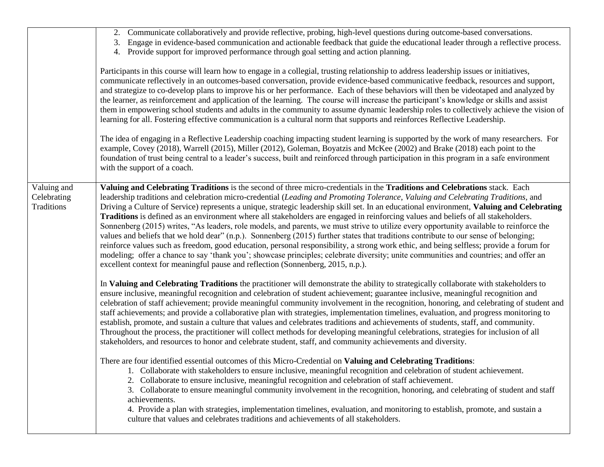|                                          | 2. Communicate collaboratively and provide reflective, probing, high-level questions during outcome-based conversations.<br>Engage in evidence-based communication and actionable feedback that guide the educational leader through a reflective process.<br>3.<br>4. Provide support for improved performance through goal setting and action planning.<br>Participants in this course will learn how to engage in a collegial, trusting relationship to address leadership issues or initiatives,<br>communicate reflectively in an outcomes-based conversation, provide evidence-based communicative feedback, resources and support,<br>and strategize to co-develop plans to improve his or her performance. Each of these behaviors will then be videotaped and analyzed by<br>the learner, as reinforcement and application of the learning. The course will increase the participant's knowledge or skills and assist<br>them in empowering school students and adults in the community to assume dynamic leadership roles to collectively achieve the vision of<br>learning for all. Fostering effective communication is a cultural norm that supports and reinforces Reflective Leadership.<br>The idea of engaging in a Reflective Leadership coaching impacting student learning is supported by the work of many researchers. For<br>example, Covey (2018), Warrell (2015), Miller (2012), Goleman, Boyatzis and McKee (2002) and Brake (2018) each point to the<br>foundation of trust being central to a leader's success, built and reinforced through participation in this program in a safe environment<br>with the support of a coach. |
|------------------------------------------|--------------------------------------------------------------------------------------------------------------------------------------------------------------------------------------------------------------------------------------------------------------------------------------------------------------------------------------------------------------------------------------------------------------------------------------------------------------------------------------------------------------------------------------------------------------------------------------------------------------------------------------------------------------------------------------------------------------------------------------------------------------------------------------------------------------------------------------------------------------------------------------------------------------------------------------------------------------------------------------------------------------------------------------------------------------------------------------------------------------------------------------------------------------------------------------------------------------------------------------------------------------------------------------------------------------------------------------------------------------------------------------------------------------------------------------------------------------------------------------------------------------------------------------------------------------------------------------------------------------------------------------------------------------|
| Valuing and<br>Celebrating<br>Traditions | Valuing and Celebrating Traditions is the second of three micro-credentials in the Traditions and Celebrations stack. Each<br>leadership traditions and celebration micro-credential (Leading and Promoting Tolerance, Valuing and Celebrating Traditions, and<br>Driving a Culture of Service) represents a unique, strategic leadership skill set. In an educational environment, Valuing and Celebrating<br>Traditions is defined as an environment where all stakeholders are engaged in reinforcing values and beliefs of all stakeholders.<br>Sonnenberg (2015) writes, "As leaders, role models, and parents, we must strive to utilize every opportunity available to reinforce the<br>values and beliefs that we hold dear" (n.p.). Sonnenberg (2015) further states that traditions contribute to our sense of belonging;<br>reinforce values such as freedom, good education, personal responsibility, a strong work ethic, and being selfless; provide a forum for<br>modeling; offer a chance to say 'thank you'; showcase principles; celebrate diversity; unite communities and countries; and offer an<br>excellent context for meaningful pause and reflection (Sonnenberg, 2015, n.p.).                                                                                                                                                                                                                                                                                                                                                                                                                                                    |
|                                          | In Valuing and Celebrating Traditions the practitioner will demonstrate the ability to strategically collaborate with stakeholders to<br>ensure inclusive, meaningful recognition and celebration of student achievement; guarantee inclusive, meaningful recognition and<br>celebration of staff achievement; provide meaningful community involvement in the recognition, honoring, and celebrating of student and<br>staff achievements; and provide a collaborative plan with strategies, implementation timelines, evaluation, and progress monitoring to<br>establish, promote, and sustain a culture that values and celebrates traditions and achievements of students, staff, and community.<br>Throughout the process, the practitioner will collect methods for developing meaningful celebrations, strategies for inclusion of all<br>stakeholders, and resources to honor and celebrate student, staff, and community achievements and diversity.                                                                                                                                                                                                                                                                                                                                                                                                                                                                                                                                                                                                                                                                                               |
|                                          | There are four identified essential outcomes of this Micro-Credential on Valuing and Celebrating Traditions:<br>1. Collaborate with stakeholders to ensure inclusive, meaningful recognition and celebration of student achievement.<br>2. Collaborate to ensure inclusive, meaningful recognition and celebration of staff achievement.<br>3. Collaborate to ensure meaningful community involvement in the recognition, honoring, and celebrating of student and staff<br>achievements.<br>4. Provide a plan with strategies, implementation timelines, evaluation, and monitoring to establish, promote, and sustain a<br>culture that values and celebrates traditions and achievements of all stakeholders.                                                                                                                                                                                                                                                                                                                                                                                                                                                                                                                                                                                                                                                                                                                                                                                                                                                                                                                                             |